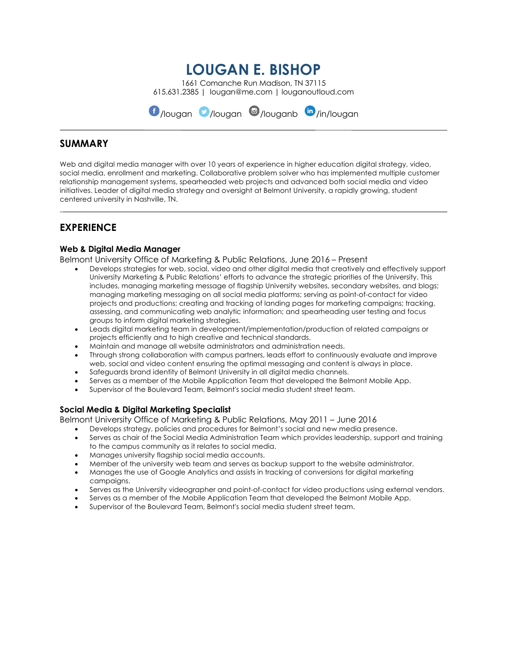# **LOUGAN E. BISHOP**

1661 Comanche Run Madison, TN 37115 615.631.2385 | lougan@me.com | louganoutloud.com

 $\bigcirc$ /lougan  $\bigcirc$ /lougan $\bigcirc$ /louganb  $\bigcirc$ /in/lougan

### **SUMMARY**

Web and digital media manager with over 10 years of experience in higher education digital strategy, video, social media, enrollment and marketing. Collaborative problem solver who has implemented multiple customer relationship management systems, spearheaded web projects and advanced both social media and video initiatives. Leader of digital media strategy and oversight at Belmont University, a rapidly growing, student centered university in Nashville, TN.

# **EXPERIENCE**

### **Web & Digital Media Manager**

Belmont University Office of Marketing & Public Relations, June 2016 – Present

- Develops strategies for web, social, video and other digital media that creatively and effectively support University Marketing & Public Relations' efforts to advance the strategic priorities of the University. This includes, managing marketing message of flagship University websites, secondary websites, and blogs; managing marketing messaging on all social media platforms; serving as point-of-contact for video projects and productions; creating and tracking of landing pages for marketing campaigns; tracking, assessing, and communicating web analytic information; and spearheading user testing and focus groups to inform digital marketing strategies.
- Leads digital marketing team in development/implementation/production of related campaigns or projects efficiently and to high creative and technical standards.
- Maintain and manage all website administrators and administration needs.
- Through strong collaboration with campus partners, leads effort to continuously evaluate and improve web, social and video content ensuring the optimal messaging and content is always in place.
- Safeguards brand identity of Belmont University in all digital media channels.
- Serves as a member of the Mobile Application Team that developed the Belmont Mobile App.
- Supervisor of the Boulevard Team, Belmont's social media student street team.

### **Social Media & Digital Marketing Specialist**

Belmont University Office of Marketing & Public Relations, May 2011 – June 2016

- Develops strategy, policies and procedures for Belmont's social and new media presence.
- Serves as chair of the Social Media Administration Team which provides leadership, support and training to the campus community as it relates to social media.
- Manages university flagship social media accounts.
- Member of the university web team and serves as backup support to the website administrator.
- Manages the use of Google Analytics and assists in tracking of conversions for digital marketing campaigns.
- Serves as the University videographer and point-of-contact for video productions using external vendors.
- Serves as a member of the Mobile Application Team that developed the Belmont Mobile App.
- Supervisor of the Boulevard Team, Belmont's social media student street team.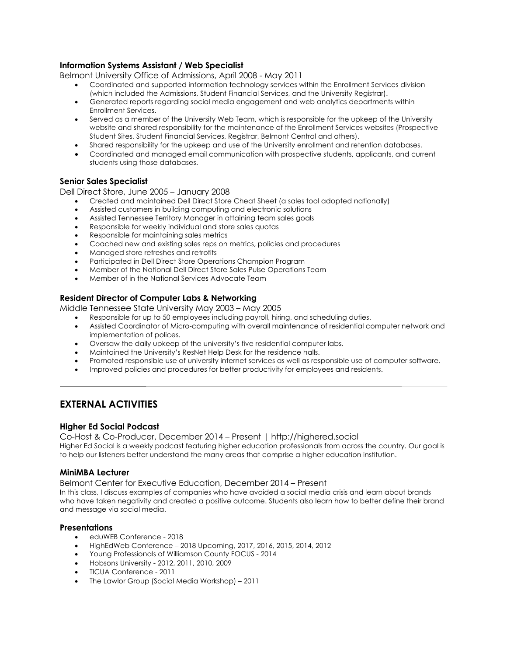### **Information Systems Assistant / Web Specialist**

Belmont University Office of Admissions, April 2008 - May 2011

- Coordinated and supported information technology services within the Enrollment Services division (which included the Admissions, Student Financial Services, and the University Registrar).
- Generated reports regarding social media engagement and web analytics departments within Enrollment Services.
- Served as a member of the University Web Team, which is responsible for the upkeep of the University website and shared responsibility for the maintenance of the Enrollment Services websites (Prospective Student Sites, Student Financial Services, Registrar, Belmont Central and others).
- Shared responsibility for the upkeep and use of the University enrollment and retention databases.
- Coordinated and managed email communication with prospective students, applicants, and current students using those databases.

### **Senior Sales Specialist**

Dell Direct Store, June 2005 – January 2008

- Created and maintained Dell Direct Store Cheat Sheet (a sales tool adopted nationally)
- Assisted customers in building computing and electronic solutions
- Assisted Tennessee Territory Manager in attaining team sales goals
- Responsible for weekly individual and store sales quotas
- Responsible for maintaining sales metrics
- Coached new and existing sales reps on metrics, policies and procedures
- Managed store refreshes and retrofits
- Participated in Dell Direct Store Operations Champion Program
- Member of the National Dell Direct Store Sales Pulse Operations Team
- Member of in the National Services Advocate Team

### **Resident Director of Computer Labs & Networking**

Middle Tennessee State University May 2003 – May 2005

- Responsible for up to 50 employees including payroll, hiring, and scheduling duties.
- Assisted Coordinator of Micro-computing with overall maintenance of residential computer network and implementation of polices.
- Oversaw the daily upkeep of the university's five residential computer labs.
- Maintained the University's ResNet Help Desk for the residence halls.
- Promoted responsible use of university internet services as well as responsible use of computer software.
- Improved policies and procedures for better productivity for employees and residents.

# **EXTERNAL ACTIVITIES**

### **Higher Ed Social Podcast**

Co-Host & Co-Producer, December 2014 – Present | http://highered.social Higher Ed Social is a weekly podcast featuring higher education professionals from across the country. Our goal is to help our listeners better understand the many areas that comprise a higher education institution.

### **MiniMBA Lecturer**

Belmont Center for Executive Education, December 2014 – Present

In this class, I discuss examples of companies who have avoided a social media crisis and learn about brands who have taken negativity and created a positive outcome. Students also learn how to better define their brand and message via social media.

### **Presentations**

- eduWEB Conference 2018
- HighEdWeb Conference 2018 Upcoming, 2017, 2016, 2015, 2014, 2012
- Young Professionals of Williamson County FOCUS 2014
- Hobsons University 2012, 2011, 2010, 2009
- TICUA Conference 2011
- The Lawlor Group (Social Media Workshop) 2011